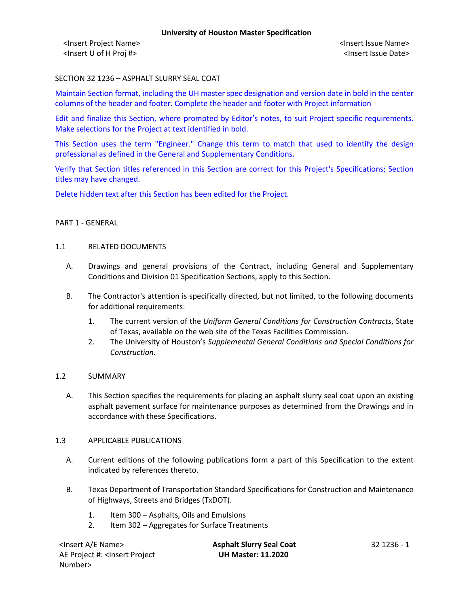<Insert Project Name> <Insert Issue Name> <Insert U of H Proj #> <Insert Issue Date>

# SECTION 32 1236 – ASPHALT SLURRY SEAL COAT

Maintain Section format, including the UH master spec designation and version date in bold in the center columns of the header and footer. Complete the header and footer with Project information

Edit and finalize this Section, where prompted by Editor's notes, to suit Project specific requirements. Make selections for the Project at text identified in bold.

This Section uses the term "Engineer." Change this term to match that used to identify the design professional as defined in the General and Supplementary Conditions.

Verify that Section titles referenced in this Section are correct for this Project's Specifications; Section titles may have changed.

Delete hidden text after this Section has been edited for the Project.

## PART 1 - GENERAL

## 1.1 RELATED DOCUMENTS

- A. Drawings and general provisions of the Contract, including General and Supplementary Conditions and Division 01 Specification Sections, apply to this Section.
- B. The Contractor's attention is specifically directed, but not limited, to the following documents for additional requirements:
	- 1. The current version of the *Uniform General Conditions for Construction Contracts*, State of Texas, available on the web site of the Texas Facilities Commission.
	- 2. The University of Houston's *Supplemental General Conditions and Special Conditions for Construction*.

## 1.2 SUMMARY

A. This Section specifies the requirements for placing an asphalt slurry seal coat upon an existing asphalt pavement surface for maintenance purposes as determined from the Drawings and in accordance with these Specifications.

## 1.3 APPLICABLE PUBLICATIONS

- A. Current editions of the following publications form a part of this Specification to the extent indicated by references thereto.
- B. Texas Department of Transportation Standard Specifications for Construction and Maintenance of Highways, Streets and Bridges (TxDOT).
	- 1. Item 300 Asphalts, Oils and Emulsions
	- 2. Item 302 Aggregates for Surface Treatments

| <lnsert a="" e="" name=""></lnsert>                                                          | <b>Asphalt Slurry Seal Coat</b> | - 32 1236 - 1 |
|----------------------------------------------------------------------------------------------|---------------------------------|---------------|
| AE Project #: <lnsert project<="" td=""><td><b>UH Master: 11.2020</b></td><td></td></lnsert> | <b>UH Master: 11.2020</b>       |               |
| Number>                                                                                      |                                 |               |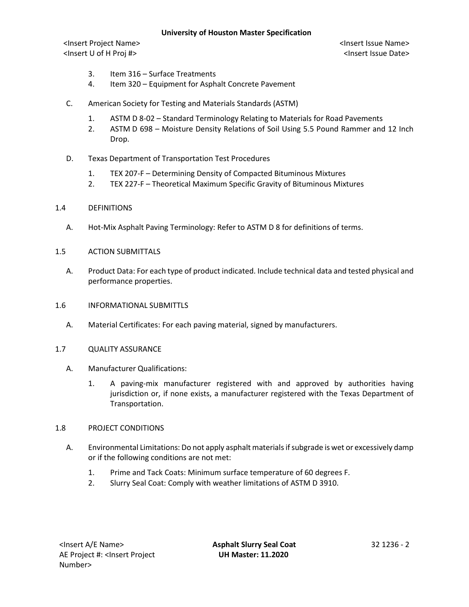## **University of Houston Master Specification**

<Insert Project Name> <Insert Issue Name> <Insert U of H Proj #> <Insert Issue Date>

- 3. Item 316 Surface Treatments
- 4. Item 320 Equipment for Asphalt Concrete Pavement
- C. American Society for Testing and Materials Standards (ASTM)
	- 1. ASTM D 8-02 Standard Terminology Relating to Materials for Road Pavements
	- 2. ASTM D 698 Moisture Density Relations of Soil Using 5.5 Pound Rammer and 12 Inch Drop.
- D. Texas Department of Transportation Test Procedures
	- 1. TEX 207-F Determining Density of Compacted Bituminous Mixtures
	- 2. TEX 227-F Theoretical Maximum Specific Gravity of Bituminous Mixtures
- 1.4 DEFINITIONS
	- A. Hot-Mix Asphalt Paving Terminology: Refer to ASTM D 8 for definitions of terms.
- 1.5 ACTION SUBMITTALS
	- A. Product Data: For each type of product indicated. Include technical data and tested physical and performance properties.
- 1.6 INFORMATIONAL SUBMITTLS
	- A. Material Certificates: For each paving material, signed by manufacturers.
- 1.7 QUALITY ASSURANCE
	- A. Manufacturer Qualifications:
		- 1. A paving-mix manufacturer registered with and approved by authorities having jurisdiction or, if none exists, a manufacturer registered with the Texas Department of Transportation.

## 1.8 PROJECT CONDITIONS

- A. Environmental Limitations: Do not apply asphalt materials if subgrade is wet or excessively damp or if the following conditions are not met:
	- 1. Prime and Tack Coats: Minimum surface temperature of 60 degrees F.
	- 2. Slurry Seal Coat: Comply with weather limitations of ASTM D 3910.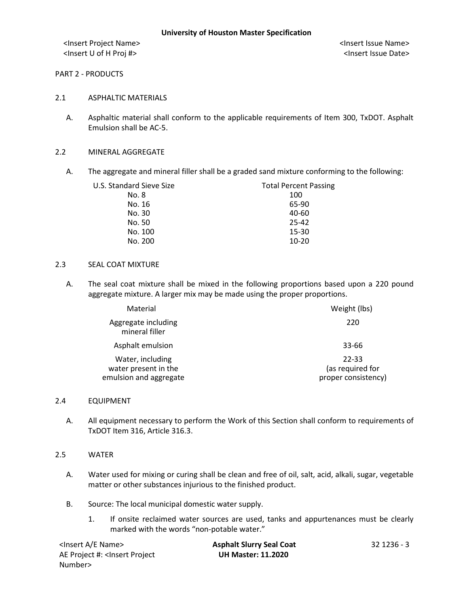<Insert Project Name> <Insert Issue Name> <Insert U of H Proj #> <Insert Issue Date>

## PART 2 - PRODUCTS

## 2.1 ASPHALTIC MATERIALS

A. Asphaltic material shall conform to the applicable requirements of Item 300, TxDOT. Asphalt Emulsion shall be AC-5.

## 2.2 MINERAL AGGREGATE

A. The aggregate and mineral filler shall be a graded sand mixture conforming to the following:

| U.S. Standard Sieve Size | <b>Total Percent Passing</b> |
|--------------------------|------------------------------|
| No. 8                    | 100                          |
| No. 16                   | 65-90                        |
| No. 30                   | 40-60                        |
| No. 50                   | 25-42                        |
| No. 100                  | 15-30                        |
| No. 200                  | $10 - 20$                    |

#### 2.3 SEAL COAT MIXTURE

A. The seal coat mixture shall be mixed in the following proportions based upon a 220 pound aggregate mixture. A larger mix may be made using the proper proportions.

| Material                                                           | Weight (lbs)                                     |
|--------------------------------------------------------------------|--------------------------------------------------|
| Aggregate including<br>mineral filler                              | 220                                              |
| Asphalt emulsion                                                   | 33-66                                            |
| Water, including<br>water present in the<br>emulsion and aggregate | 22-33<br>(as required for<br>proper consistency) |

#### 2.4 EQUIPMENT

A. All equipment necessary to perform the Work of this Section shall conform to requirements of TxDOT Item 316, Article 316.3.

## 2.5 WATER

- A. Water used for mixing or curing shall be clean and free of oil, salt, acid, alkali, sugar, vegetable matter or other substances injurious to the finished product.
- B. Source: The local municipal domestic water supply.
	- 1. If onsite reclaimed water sources are used, tanks and appurtenances must be clearly marked with the words "non-potable water."

| <lnsert a="" e="" name=""></lnsert>                                                          | <b>Asphalt Slurry Seal Coat</b> | 32 1236 - 3 |
|----------------------------------------------------------------------------------------------|---------------------------------|-------------|
| AE Project #: <insert project<="" td=""><td><b>UH Master: 11.2020</b></td><td></td></insert> | <b>UH Master: 11.2020</b>       |             |
| Number>                                                                                      |                                 |             |